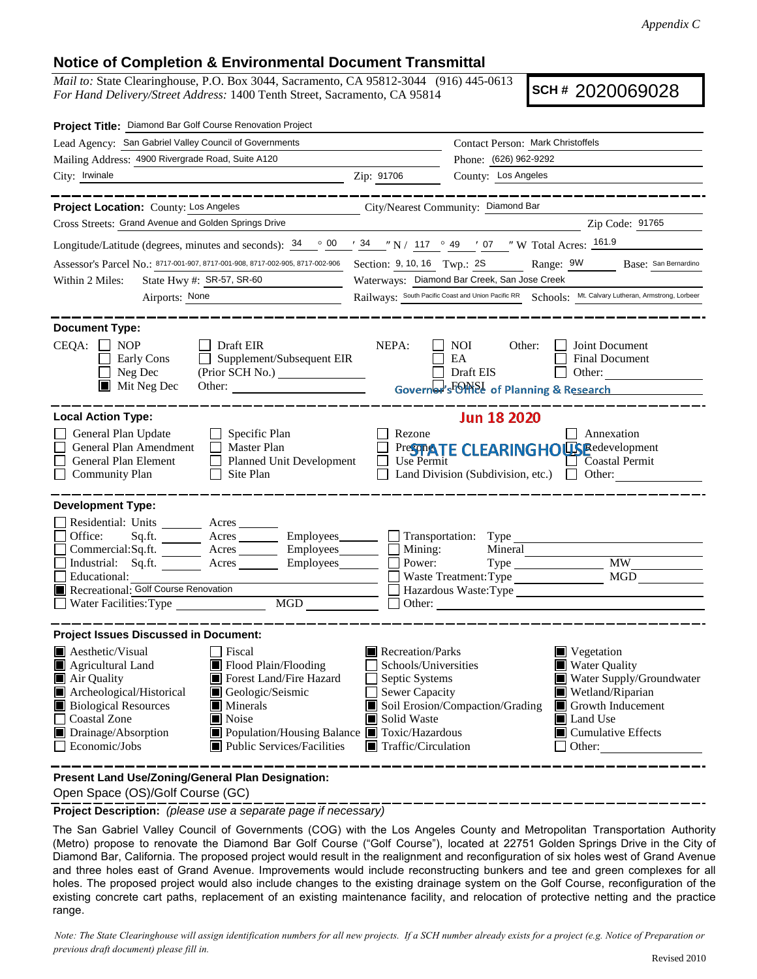## **Notice of Completion & Environmental Document Transmittal**

*Mail to:* State Clearinghouse, P.O. Box 3044, Sacramento, CA 95812-3044 (916) 445-0613 *For Hand Delivery/Street Address:* 1400 Tenth Street, Sacramento, CA 95814

**SCH #** 2020069028

| Project Title: Diamond Bar Golf Course Renovation Project                                                                                                                                                                                                                                                                                                                     |                                                                                                                                                                                                                                                                                                                                                   |  |  |  |  |
|-------------------------------------------------------------------------------------------------------------------------------------------------------------------------------------------------------------------------------------------------------------------------------------------------------------------------------------------------------------------------------|---------------------------------------------------------------------------------------------------------------------------------------------------------------------------------------------------------------------------------------------------------------------------------------------------------------------------------------------------|--|--|--|--|
| Lead Agency: San Gabriel Valley Council of Governments                                                                                                                                                                                                                                                                                                                        | Contact Person: Mark Christoffels                                                                                                                                                                                                                                                                                                                 |  |  |  |  |
| Mailing Address: 4900 Rivergrade Road, Suite A120                                                                                                                                                                                                                                                                                                                             | Phone: (626) 962-9292                                                                                                                                                                                                                                                                                                                             |  |  |  |  |
| City: Irwinale                                                                                                                                                                                                                                                                                                                                                                | County: Los Angeles<br>Zip: 91706                                                                                                                                                                                                                                                                                                                 |  |  |  |  |
| _________<br>Project Location: County: Los Angeles                                                                                                                                                                                                                                                                                                                            | --------------<br>City/Nearest Community: Diamond Bar                                                                                                                                                                                                                                                                                             |  |  |  |  |
| Cross Streets: Grand Avenue and Golden Springs Drive                                                                                                                                                                                                                                                                                                                          | Zip Code: 91765                                                                                                                                                                                                                                                                                                                                   |  |  |  |  |
| Longitude/Latitude (degrees, minutes and seconds): $\frac{34}{900}$ $\frac{34}{130}$ $\frac{34}{117}$ $\frac{34}{117}$ $\frac{34}{117}$ $\frac{34}{117}$ $\frac{34}{117}$ $\frac{34}{117}$ $\frac{34}{117}$ $\frac{34}{117}$ $\frac{34}{117}$ $\frac{34}{117}$ $\frac{34}{117}$ $\$                                                                                           |                                                                                                                                                                                                                                                                                                                                                   |  |  |  |  |
| Assessor's Parcel No.: 8717-001-907, 8717-001-908, 8717-002-905, 8717-002-906                                                                                                                                                                                                                                                                                                 | Section: 9, 10, 16 Twp.: 2S Range: 9W Base: San Bernardino                                                                                                                                                                                                                                                                                        |  |  |  |  |
| State Hwy #: SR-57, SR-60<br>Within 2 Miles:                                                                                                                                                                                                                                                                                                                                  | Waterways: Diamond Bar Creek, San Jose Creek                                                                                                                                                                                                                                                                                                      |  |  |  |  |
| Airports: None                                                                                                                                                                                                                                                                                                                                                                | Railways: South Pacific Coast and Union Pacific RR Schools: Mt. Calvary Lutheran, Armstrong, Lorbeer                                                                                                                                                                                                                                              |  |  |  |  |
| <b>Document Type:</b><br>$CEQA: \Box NOP$<br>$\Box$ Draft EIR<br>Supplement/Subsequent EIR<br>Early Cons<br>$\perp$<br>Neg Dec<br>$\blacksquare$ Mit Neg Dec<br>Other:                                                                                                                                                                                                        | NEPA:<br>NOI<br>Other:<br>Joint Document<br>EA<br><b>Final Document</b><br>Draft EIS<br>Other:<br>Governor's FOINSE of Planning & Research                                                                                                                                                                                                        |  |  |  |  |
| <b>Local Action Type:</b><br>General Plan Update<br>$\Box$ Specific Plan<br>General Plan Amendment<br>$\Box$ Master Plan<br>General Plan Element<br>Planned Unit Development<br><b>Community Plan</b><br>Site Plan<br>$\Box$                                                                                                                                                  | <b>Jun 18 2020</b><br>Rezone<br>Annexation<br>PresmaTE CLEARINGHOUSE edevelopment<br>Use Permit<br>$\Box$ Coastal Permit<br>Land Division (Subdivision, etc.) $\Box$ Other:                                                                                                                                                                       |  |  |  |  |
| <b>Development Type:</b><br>Residential: Units ________ Acres _______<br>Office:<br>Sq.ft. _________ Acres __________ Employees__________  <br>Commercial:Sq.ft. ________ Acres _________ Employees_______<br>Industrial: Sq.ft. _______ Acres _______ Employees_______<br>Educational:<br>$\underline{\text{MGD}}$                                                           | $\Box$ Transportation: Type<br>Mining:<br>Mineral<br><b>MW</b><br>Power:<br>MGD<br>Waste Treatment: Type<br>Hazardous Waste: Type<br>Other:                                                                                                                                                                                                       |  |  |  |  |
| <b>Project Issues Discussed in Document:</b>                                                                                                                                                                                                                                                                                                                                  |                                                                                                                                                                                                                                                                                                                                                   |  |  |  |  |
| Aesthetic/Visual<br>  Fiscal<br>Agricultural Land<br>Flood Plain/Flooding<br>Air Quality<br>Forest Land/Fire Hazard<br>Archeological/Historical<br>Geologic/Seismic<br><b>Biological Resources</b><br>Minerals<br><b>Coastal Zone</b><br>Noise<br>Drainage/Absorption<br>■ Population/Housing Balance ■ Toxic/Hazardous<br>$\Box$ Economic/Jobs<br>Public Services/Facilities | Recreation/Parks<br>Vegetation<br>Schools/Universities<br><b>Water Quality</b><br>Septic Systems<br>Water Supply/Groundwater<br>Sewer Capacity<br>$\blacksquare$ Wetland/Riparian<br>Soil Erosion/Compaction/Grading<br>Growth Inducement<br>Solid Waste<br>Land Use<br>$\Box$ Cumulative Effects<br>$\blacksquare$ Traffic/Circulation<br>Other: |  |  |  |  |
| Present Land Use/Zoning/General Plan Designation:                                                                                                                                                                                                                                                                                                                             |                                                                                                                                                                                                                                                                                                                                                   |  |  |  |  |

Open Space (OS)/Golf Course (GC)

**Project Description:** *(please use a separate page if necessary)* 

The San Gabriel Valley Council of Governments (COG) with the Los Angeles County and Metropolitan Transportation Authority (Metro) propose to renovate the Diamond Bar Golf Course ("Golf Course"), located at 22751 Golden Springs Drive in the City of Diamond Bar, California. The proposed project would result in the realignment and reconfiguration of six holes west of Grand Avenue and three holes east of Grand Avenue. Improvements would include reconstructing bunkers and tee and green complexes for all holes. The proposed project would also include changes to the existing drainage system on the Golf Course, reconfiguration of the existing concrete cart paths, replacement of an existing maintenance facility, and relocation of protective netting and the practice range.

*Note: The State Clearinghouse will assign identification numbers for all new projects. If a SCH number already exists for a project (e.g. Notice of Preparation or previous draft document) please fill in.*